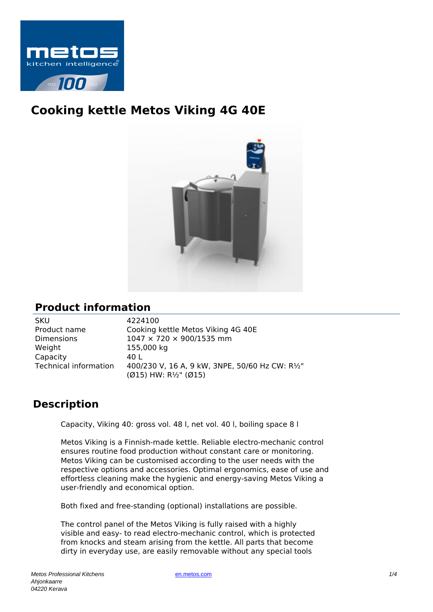

# **Cooking kettle Metos Viking 4G 40E**



# **Product information**

| SKU                   |
|-----------------------|
| Product name          |
| Dimensions            |
| Weight                |
| Capacity              |
| Technical information |
|                       |

4224100 Cooking kettle Metos Viking 4G 40E  $1047 \times 720 \times 900/1535$  mm 155,000 kg  $401$ 400/230 V, 16 A, 9 kW, 3NPE, 50/60 Hz CW: R1/2" (Ø15) HW: R½" (Ø15)

# **Description**

Capacity, Viking 40: gross vol. 48 l, net vol. 40 l, boiling space 8 l

Metos Viking is a Finnish-made kettle. Reliable electro-mechanic control ensures routine food production without constant care or monitoring. Metos Viking can be customised according to the user needs with the respective options and accessories. Optimal ergonomics, ease of use and effortless cleaning make the hygienic and energy-saving Metos Viking a user-friendly and economical option.

Both fixed and free-standing (optional) installations are possible.

The control panel of the Metos Viking is fully raised with a highly visible and easy- to read electro-mechanic control, which is protected from knocks and steam arising from the kettle. All parts that become dirty in everyday use, are easily removable without any special tools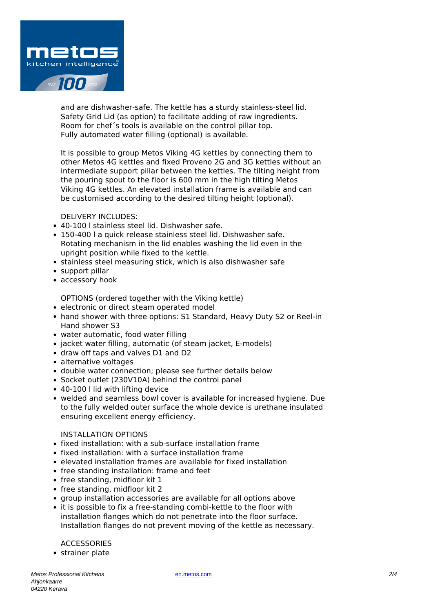

and are dishwasher-safe. The kettle has a sturdy stainless-steel lid. Safety Grid Lid (as option) to facilitate adding of raw ingredients. Room for chef´s tools is available on the control pillar top. Fully automated water filling (optional) is available.

It is possible to group Metos Viking 4G kettles by connecting them to other Metos 4G kettles and fixed Proveno 2G and 3G kettles without an intermediate support pillar between the kettles. The tilting height from the pouring spout to the floor is 600 mm in the high tilting Metos Viking 4G kettles. An elevated installation frame is available and can be customised according to the desired tilting height (optional).

DELIVERY INCLUDES:

- 40-100 l stainless steel lid. Dishwasher safe.
- 150-400 l a quick release stainless steel lid. Dishwasher safe. Rotating mechanism in the lid enables washing the lid even in the upright position while fixed to the kettle.
- stainless steel measuring stick, which is also dishwasher safe
- support pillar
- accessory hook

OPTIONS (ordered together with the Viking kettle)

- electronic or direct steam operated model
- hand shower with three options: S1 Standard, Heavy Duty S2 or Reel-in Hand shower S3
- water automatic, food water filling
- jacket water filling, automatic (of steam jacket, E-models)
- draw off taps and valves D1 and D2
- alternative voltages
- double water connection; please see further details below
- Socket outlet (230V10A) behind the control panel
- 40-100 I lid with lifting device
- welded and seamless bowl cover is available for increased hygiene. Due to the fully welded outer surface the whole device is urethane insulated ensuring excellent energy efficiency.

# INSTALLATION OPTIONS

- fixed installation: with a sub-surface installation frame
- fixed installation: with a surface installation frame
- elevated installation frames are available for fixed installation
- free standing installation: frame and feet
- free standing, midfloor kit 1
- free standing, midfloor kit 2
- group installation accessories are available for all options above
- it is possible to fix a free-standing combi-kettle to the floor with installation flanges which do not penetrate into the floor surface. Installation flanges do not prevent moving of the kettle as necessary.

**ACCESSORIES** 

strainer plate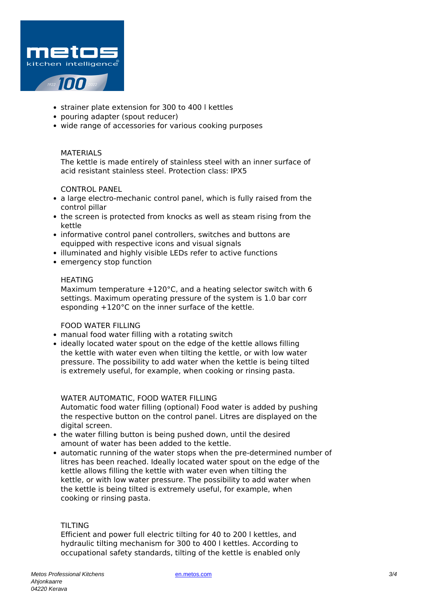

- strainer plate extension for 300 to 400 l kettles
- pouring adapter (spout reducer)
- wide range of accessories for various cooking purposes

## MATERIALS

The kettle is made entirely of stainless steel with an inner surface of acid resistant stainless steel. Protection class: IPX5

# CONTROL PANEL

- a large electro-mechanic control panel, which is fully raised from the control pillar
- the screen is protected from knocks as well as steam rising from the kettle
- informative control panel controllers, switches and buttons are equipped with respective icons and visual signals
- illuminated and highly visible LEDs refer to active functions
- emergency stop function

#### **HEATING**

Maximum temperature +120°C, and a heating selector switch with 6 settings. Maximum operating pressure of the system is 1.0 bar corr esponding +120°C on the inner surface of the kettle.

## FOOD WATER FILLING

- manual food water filling with a rotating switch
- ideally located water spout on the edge of the kettle allows filling the kettle with water even when tilting the kettle, or with low water pressure. The possibility to add water when the kettle is being tilted is extremely useful, for example, when cooking or rinsing pasta.

## WATER AUTOMATIC, FOOD WATER FILLING

Automatic food water filling (optional) Food water is added by pushing the respective button on the control panel. Litres are displayed on the digital screen.

- the water filling button is being pushed down, until the desired amount of water has been added to the kettle.
- automatic running of the water stops when the pre-determined number of litres has been reached. Ideally located water spout on the edge of the kettle allows filling the kettle with water even when tilting the kettle, or with low water pressure. The possibility to add water when the kettle is being tilted is extremely useful, for example, when cooking or rinsing pasta.

# TILTING

Efficient and power full electric tilting for 40 to 200 l kettles, and hydraulic tilting mechanism for 300 to 400 l kettles. According to occupational safety standards, tilting of the kettle is enabled only